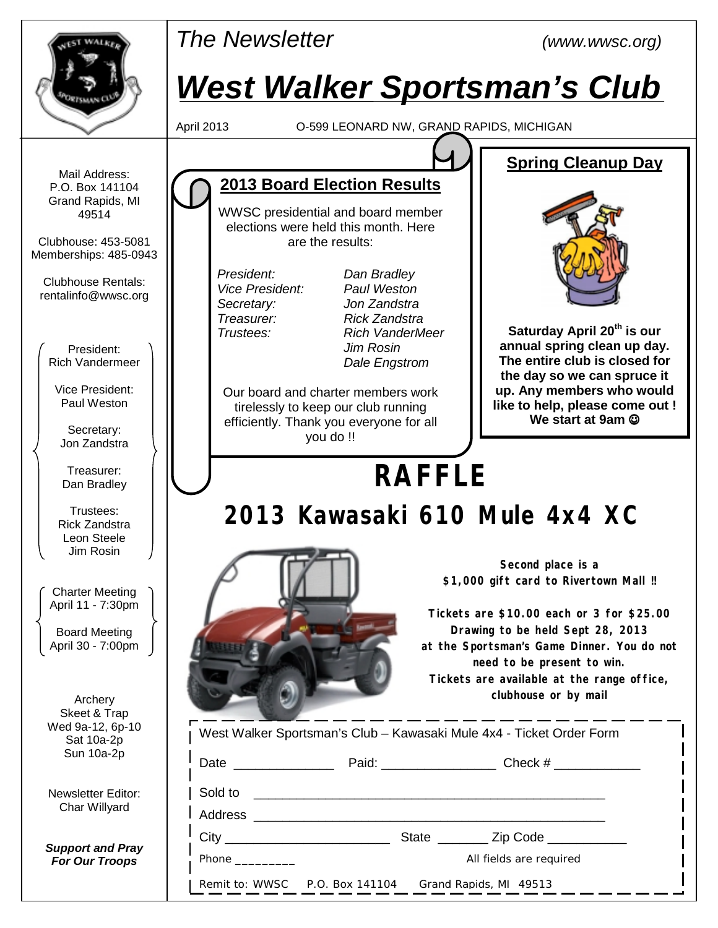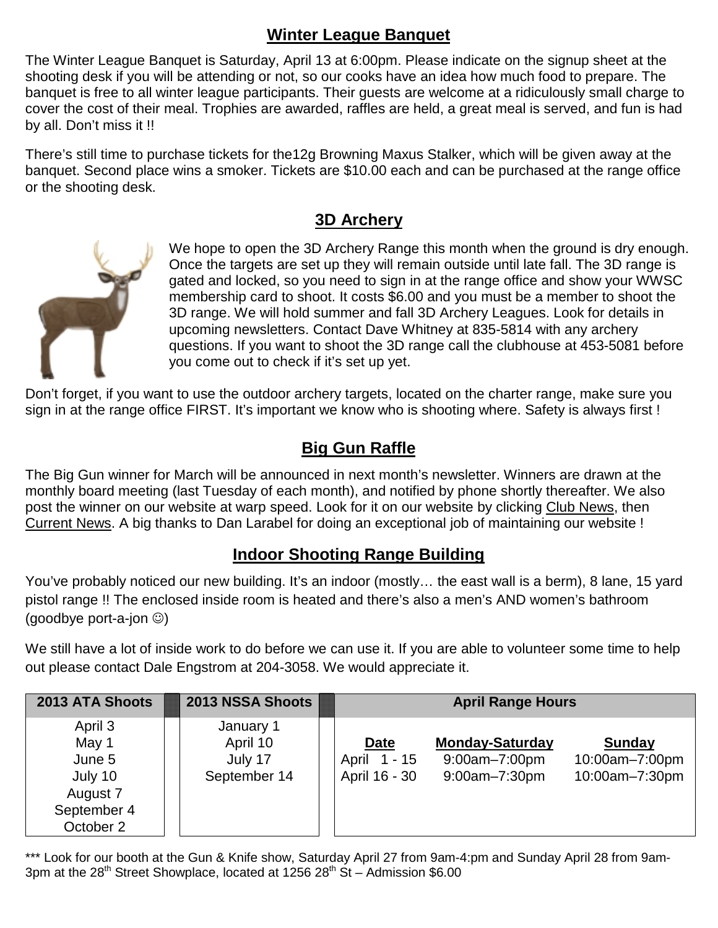#### **Winter League Banquet**

The Winter League Banquet is Saturday, April 13 at 6:00pm. Please indicate on the signup sheet at the shooting desk if you will be attending or not, so our cooks have an idea how much food to prepare. The banquet is free to all winter league participants. Their guests are welcome at a ridiculously small charge to cover the cost of their meal. Trophies are awarded, raffles are held, a great meal is served, and fun is had by all. Don't miss it !!

There's still time to purchase tickets for the12g Browning Maxus Stalker, which will be given away at the banquet. Second place wins a smoker. Tickets are \$10.00 each and can be purchased at the range office or the shooting desk.

#### **3D Archery**



We hope to open the 3D Archery Range this month when the ground is dry enough. Once the targets are set up they will remain outside until late fall. The 3D range is gated and locked, so you need to sign in at the range office and show your WWSC membership card to shoot. It costs \$6.00 and you must be a member to shoot the 3D range. We will hold summer and fall 3D Archery Leagues. Look for details in upcoming newsletters. Contact Dave Whitney at 835-5814 with any archery questions. If you want to shoot the 3D range call the clubhouse at 453-5081 before you come out to check if it's set up yet.

Don't forget, if you want to use the outdoor archery targets, located on the charter range, make sure you sign in at the range office FIRST. It's important we know who is shooting where. Safety is always first !

#### **Big Gun Raffle**

The Big Gun winner for March will be announced in next month's newsletter. Winners are drawn at the monthly board meeting (last Tuesday of each month), and notified by phone shortly thereafter. We also post the winner on our website at warp speed. Look for it on our website by clicking Club News, then Current News. A big thanks to Dan Larabel for doing an exceptional job of maintaining our website !

### **Indoor Shooting Range Building**

You've probably noticed our new building. It's an indoor (mostly... the east wall is a berm), 8 lane, 15 yard pistol range !! The enclosed inside room is heated and there's also a men's AND women's bathroom (goodbye port-a-jon ☺)

We still have a lot of inside work to do before we can use it. If you are able to volunteer some time to help out please contact Dale Engstrom at 204-3058. We would appreciate it.

| 2013 ATA Shoots                                                               | <b>2013 NSSA Shoots</b>                          |                                              | <b>April Range Hours</b>                                     |                                                   |  |  |  |
|-------------------------------------------------------------------------------|--------------------------------------------------|----------------------------------------------|--------------------------------------------------------------|---------------------------------------------------|--|--|--|
| April 3<br>May 1<br>June 5<br>July 10<br>August 7<br>September 4<br>October 2 | January 1<br>April 10<br>July 17<br>September 14 | <b>Date</b><br>April 1 - 15<br>April 16 - 30 | <b>Monday-Saturday</b><br>$9:00am - 7:00pm$<br>9:00am-7:30pm | <b>Sunday</b><br>10:00am-7:00pm<br>10:00am-7:30pm |  |  |  |

\*\*\* Look for our booth at the Gun & Knife show, Saturday April 27 from 9am-4:pm and Sunday April 28 from 9am-3pm at the 28<sup>th</sup> Street Showplace, located at 1256 28<sup>th</sup> St – Admission \$6.00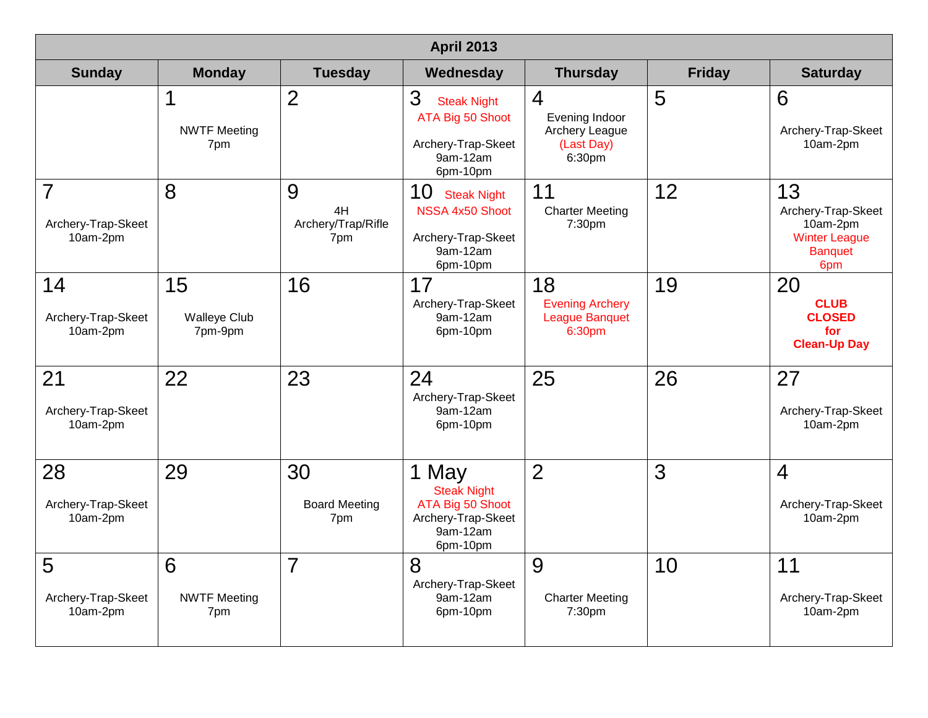| <b>April 2013</b>                                |                                      |                                      |                                                                                               |                                                                 |               |                                                                                       |  |  |  |
|--------------------------------------------------|--------------------------------------|--------------------------------------|-----------------------------------------------------------------------------------------------|-----------------------------------------------------------------|---------------|---------------------------------------------------------------------------------------|--|--|--|
| <b>Sunday</b>                                    | <b>Monday</b>                        | <b>Tuesday</b>                       | Wednesday                                                                                     | <b>Thursday</b>                                                 | <b>Friday</b> | <b>Saturday</b>                                                                       |  |  |  |
|                                                  | 1<br><b>NWTF Meeting</b><br>7pm      | $\overline{2}$                       | 3<br><b>Steak Night</b><br>ATA Big 50 Shoot<br>Archery-Trap-Skeet<br>9am-12am<br>6pm-10pm     | 4<br>Evening Indoor<br>Archery League<br>(Last Day)<br>6:30pm   | 5             | 6<br>Archery-Trap-Skeet<br>10am-2pm                                                   |  |  |  |
| $\overline{7}$<br>Archery-Trap-Skeet<br>10am-2pm | 8                                    | 9<br>4H<br>Archery/Trap/Rifle<br>7pm | 10<br><b>Steak Night</b><br>NSSA 4x50 Shoot<br>Archery-Trap-Skeet<br>9am-12am<br>6pm-10pm     | 11<br><b>Charter Meeting</b><br>7:30pm                          | 12            | 13<br>Archery-Trap-Skeet<br>10am-2pm<br><b>Winter League</b><br><b>Banquet</b><br>6pm |  |  |  |
| 14<br>Archery-Trap-Skeet<br>10am-2pm             | 15<br><b>Walleye Club</b><br>7pm-9pm | 16                                   | 17<br>Archery-Trap-Skeet<br>9am-12am<br>6pm-10pm                                              | 18<br><b>Evening Archery</b><br><b>League Banquet</b><br>6:30pm | 19            | 20<br><b>CLUB</b><br><b>CLOSED</b><br>for<br><b>Clean-Up Day</b>                      |  |  |  |
| 21<br>Archery-Trap-Skeet<br>10am-2pm             | 22                                   | 23                                   | 24<br>Archery-Trap-Skeet<br>9am-12am<br>6pm-10pm                                              | 25                                                              | 26            | 27<br>Archery-Trap-Skeet<br>10am-2pm                                                  |  |  |  |
| 28<br>Archery-Trap-Skeet<br>10am-2pm             | 29                                   | 30<br><b>Board Meeting</b><br>7pm    | 1 May<br><b>Steak Night</b><br>ATA Big 50 Shoot<br>Archery-Trap-Skeet<br>9am-12am<br>6pm-10pm | $\overline{2}$                                                  | 3             | 4<br>Archery-Trap-Skeet<br>10am-2pm                                                   |  |  |  |
| 5<br>Archery-Trap-Skeet<br>10am-2pm              | 6<br><b>NWTF Meeting</b><br>7pm      | 7                                    | 8<br>Archery-Trap-Skeet<br>9am-12am<br>6pm-10pm                                               | 9<br><b>Charter Meeting</b><br>7:30pm                           | 10            | 11<br>Archery-Trap-Skeet<br>10am-2pm                                                  |  |  |  |